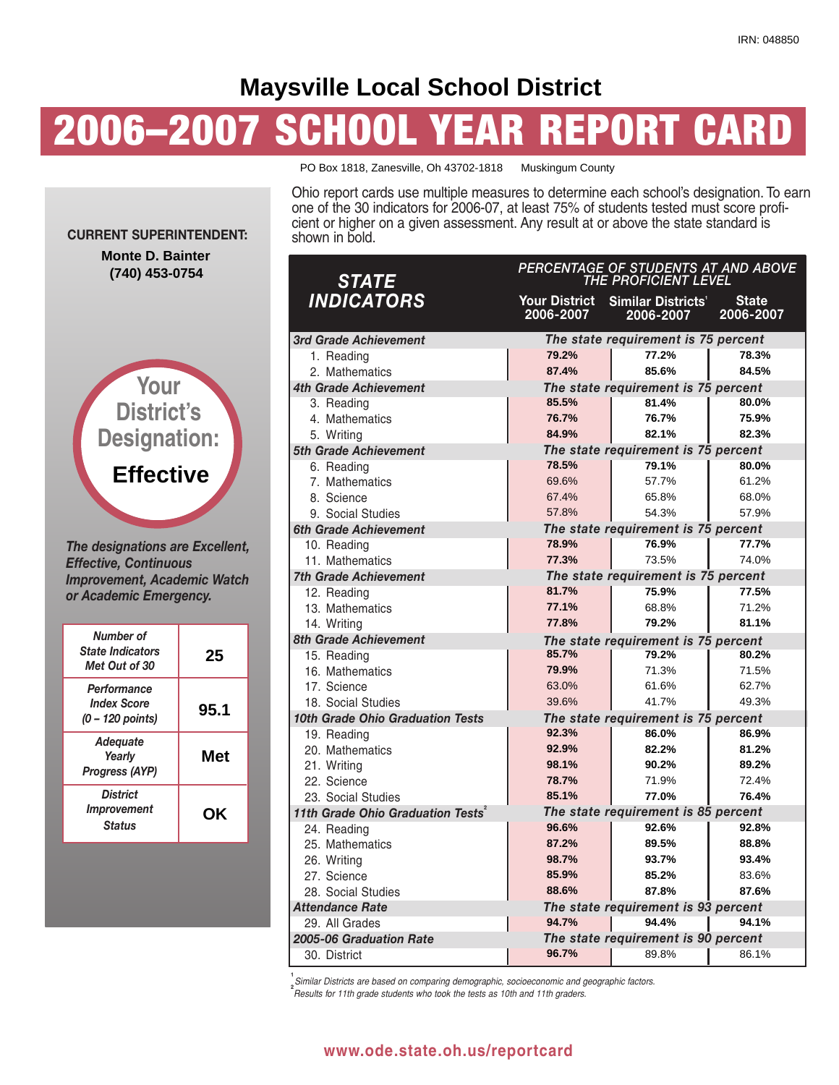# **Maysville Local School District**

# **2006–2007 SCHOOL YEAR REPORT CARD**



*The designations are Excellent, Effective, Continuous Improvement, Academic Watch or Academic Emergency.*

| Number of<br><b>State Indicators</b><br>Met Out of 30 | 25         |
|-------------------------------------------------------|------------|
| Performance<br><b>Index Score</b><br>(0 – 120 points) | 95.1       |
| Adequate<br>Yearly<br><b>Progress (AYP)</b>           | <b>Met</b> |
| <b>District</b><br>Improvement<br><b>Status</b>       | ΟK         |

PO Box 1818, Zanesville, Oh 43702-1818 Muskingum County

Ohio report cards use multiple measures to determine each school's designation. To earn one of the 30 indicators for 2006-07, at least 75% of students tested must score proficient or higher on a given assessment. Any result at or above the state standard is shown in bold.

| <b>STATE</b>                                  | PERCENTAGE OF STUDENTS AT AND ABOVE<br>THE PROFICIENT LEVEL |                                        |                           |  |  |  |
|-----------------------------------------------|-------------------------------------------------------------|----------------------------------------|---------------------------|--|--|--|
| <b>INDICATORS</b>                             | Your District<br>2006-2007                                  | <b>Similar Districts'</b><br>2006-2007 | <b>State</b><br>2006-2007 |  |  |  |
| 3rd Grade Achievement                         |                                                             | The state requirement is 75 percent    |                           |  |  |  |
| 1. Reading                                    | 79.2%                                                       | 77.2%                                  | 78.3%                     |  |  |  |
| 2. Mathematics                                | 87.4%                                                       | 85.6%                                  | 84.5%                     |  |  |  |
| 4th Grade Achievement                         |                                                             | The state requirement is 75 percent    |                           |  |  |  |
| 3. Reading                                    | 85.5%                                                       | 81.4%                                  | 80.0%                     |  |  |  |
| 4. Mathematics                                | 76.7%                                                       | 76.7%                                  | 75.9%                     |  |  |  |
| 5. Writing                                    | 84.9%                                                       | 82.1%                                  | 82.3%                     |  |  |  |
| 5th Grade Achievement                         |                                                             | The state requirement is 75 percent    |                           |  |  |  |
| 6. Reading                                    | 78.5%                                                       | 79.1%                                  | 80.0%                     |  |  |  |
| 7. Mathematics                                | 69.6%                                                       | 57.7%                                  | 61.2%                     |  |  |  |
| 8. Science                                    | 67.4%                                                       | 65.8%                                  | 68.0%                     |  |  |  |
| 9. Social Studies                             | 57.8%                                                       | 54.3%                                  | 57.9%                     |  |  |  |
| 6th Grade Achievement                         |                                                             | The state requirement is 75 percent    |                           |  |  |  |
| 10. Reading                                   | 78.9%                                                       | 76.9%                                  | 77.7%                     |  |  |  |
| 11. Mathematics                               | 77.3%                                                       | 73.5%                                  | 74.0%                     |  |  |  |
| <b>7th Grade Achievement</b>                  |                                                             | The state requirement is 75 percent    |                           |  |  |  |
| 12. Reading                                   | 81.7%                                                       | 75.9%                                  | 77.5%                     |  |  |  |
| 13. Mathematics                               | 77.1%                                                       | 68.8%                                  | 71.2%                     |  |  |  |
| 14. Writing                                   | 77.8%                                                       | 79.2%                                  | 81.1%                     |  |  |  |
| 8th Grade Achievement                         |                                                             | The state requirement is 75 percent    |                           |  |  |  |
| 15. Reading                                   | 85.7%                                                       | 79.2%                                  | 80.2%                     |  |  |  |
| 16. Mathematics                               | 79.9%                                                       | 71.3%                                  | 71.5%                     |  |  |  |
| 17. Science                                   | 63.0%                                                       | 61.6%                                  | 62.7%                     |  |  |  |
| 18. Social Studies                            | 39.6%                                                       | 41.7%                                  | 49.3%                     |  |  |  |
| 10th Grade Ohio Graduation Tests              |                                                             | The state requirement is 75 percent    |                           |  |  |  |
| 19. Reading                                   | 92.3%                                                       | 86.0%                                  | 86.9%                     |  |  |  |
| 20. Mathematics                               | 92.9%                                                       | 82.2%                                  | 81.2%                     |  |  |  |
| 21. Writing                                   | 98.1%                                                       | 90.2%                                  | 89.2%                     |  |  |  |
| 22. Science                                   | 78.7%                                                       | 71.9%                                  | 72.4%                     |  |  |  |
| 23. Social Studies                            | 85.1%                                                       | 77.0%                                  | 76.4%                     |  |  |  |
| 11th Grade Ohio Graduation Tests <sup>2</sup> |                                                             | The state requirement is 85 percent    |                           |  |  |  |
| 24. Reading                                   | 96.6%                                                       | 92.6%                                  | 92.8%                     |  |  |  |
| 25. Mathematics                               | 87.2%                                                       | 89.5%                                  | 88.8%                     |  |  |  |
| 26. Writing                                   | 98.7%                                                       | 93.7%                                  | 93.4%                     |  |  |  |
| 27. Science                                   | 85.9%                                                       | 85.2%                                  | 83.6%                     |  |  |  |
| 28. Social Studies                            | 88.6%                                                       | 87.8%                                  | 87.6%                     |  |  |  |
| Attendance Rate                               |                                                             | The state requirement is 93 percent    |                           |  |  |  |
| 29. All Grades                                | 94.7%                                                       | 94.4%                                  | 94.1%                     |  |  |  |
| 2005-06 Graduation Rate                       |                                                             | The state requirement is 90 percent    |                           |  |  |  |
| 30. District                                  | 96.7%                                                       | 89.8%                                  | 86.1%                     |  |  |  |

**1** *Similar Districts are based on comparing demographic, socioeconomic and geographic factors.*

**2** *Results for 11th grade students who took the tests as 10th and 11th graders.*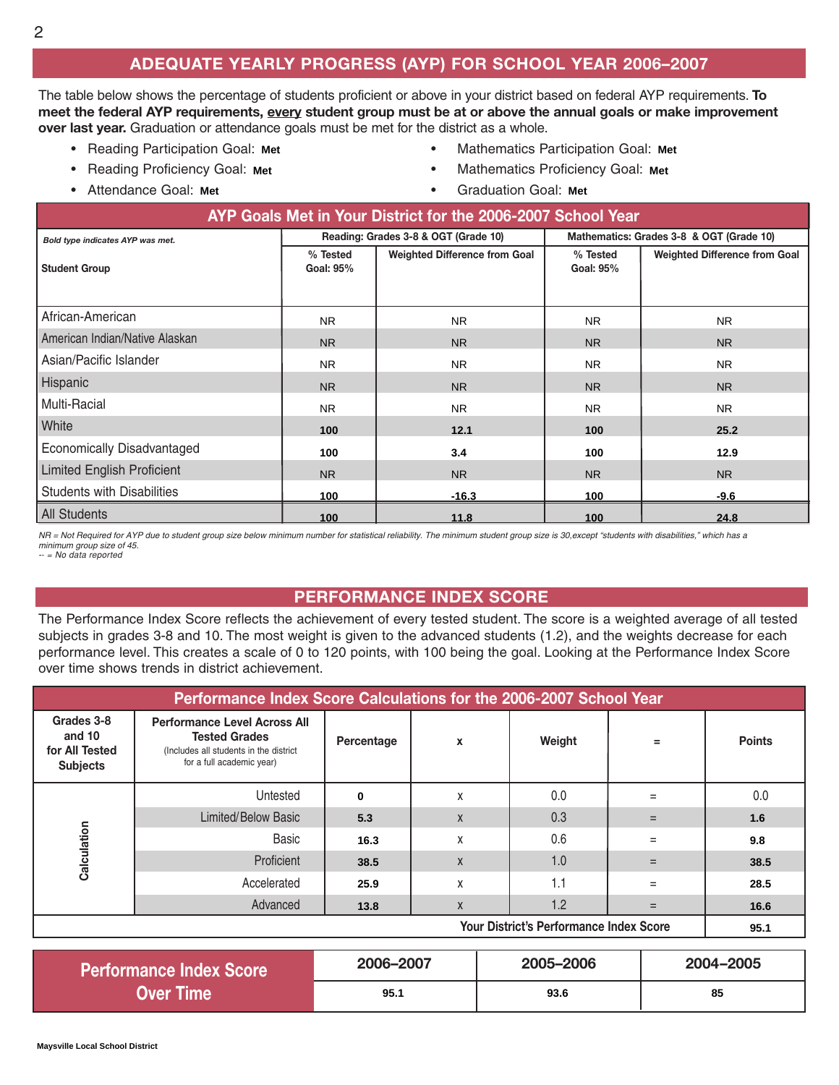### **ADEQUATE YEARLY PROGRESS (AYP) FOR SCHOOL YEAR 2006–2007**

The table below shows the percentage of students proficient or above in your district based on federal AYP requirements. **To** meet the federal AYP requirements, every student group must be at or above the annual goals or make improvement **over last year.** Graduation or attendance goals must be met for the district as a whole.

- Reading Participation Goal: Met **Facture Participation Goal:** Met **Participation** O
- Reading Proficiency Goal: Met
- Attendance Goal: Met **Francische Goal:** Met **Francische Goal:** Met **Francische Goal:** Met **Francische Goal:** Met **Francische Goal:** Met **Francische Goal:** Met **Francische Goal:** Met **Francische Goal:** Met **Francische Goa**
- **Mathematics Participation Goal: Met**
- **Mathematics Proficiency Goal: Met** 
	- **Graduation Goal: Met**

| AYP Goals Met in Your District for the 2006-2007 School Year |                       |                                      |                                          |                                      |  |  |  |  |
|--------------------------------------------------------------|-----------------------|--------------------------------------|------------------------------------------|--------------------------------------|--|--|--|--|
| Bold type indicates AYP was met.                             |                       | Reading: Grades 3-8 & OGT (Grade 10) | Mathematics: Grades 3-8 & OGT (Grade 10) |                                      |  |  |  |  |
| <b>Student Group</b>                                         | % Tested<br>Goal: 95% | <b>Weighted Difference from Goal</b> | % Tested<br>Goal: 95%                    | <b>Weighted Difference from Goal</b> |  |  |  |  |
| African-American                                             | <b>NR</b>             | <b>NR</b>                            | N <sub>R</sub>                           | <b>NR</b>                            |  |  |  |  |
| American Indian/Native Alaskan                               | <b>NR</b>             | <b>NR</b>                            | N <sub>R</sub>                           | <b>NR</b>                            |  |  |  |  |
| Asian/Pacific Islander                                       | <b>NR</b>             | <b>NR</b>                            | NR.                                      | <b>NR</b>                            |  |  |  |  |
| Hispanic                                                     | <b>NR</b>             | <b>NR</b>                            | N <sub>R</sub>                           | <b>NR</b>                            |  |  |  |  |
| Multi-Racial                                                 | <b>NR</b>             | <b>NR</b>                            | N <sub>R</sub>                           | <b>NR</b>                            |  |  |  |  |
| White                                                        | 100                   | 12.1                                 | 100                                      | 25.2                                 |  |  |  |  |
| <b>Economically Disadvantaged</b>                            | 100                   | 3.4                                  | 100                                      | 12.9                                 |  |  |  |  |
| <b>Limited English Proficient</b>                            | <b>NR</b>             | <b>NR</b>                            | <b>NR</b>                                | <b>NR</b>                            |  |  |  |  |
| <b>Students with Disabilities</b>                            | 100                   | $-16.3$                              | 100                                      | $-9.6$                               |  |  |  |  |
| <b>All Students</b>                                          | 100                   | 11.8                                 | 100                                      | 24.8                                 |  |  |  |  |

*NR = Not Required for AYP due to student group size below minimum number for statistical reliability. The minimum student group size is 30,except "students with disabilities," which has a minimum group size of 45. -- = No data reported*

#### **PERFORMANCE INDEX SCORE**

The Performance Index Score reflects the achievement of every tested student. The score is a weighted average of all tested subjects in grades 3-8 and 10. The most weight is given to the advanced students (1.2), and the weights decrease for each performance level. This creates a scale of 0 to 120 points, with 100 being the goal. Looking at the Performance Index Score over time shows trends in district achievement.

| Performance Index Score Calculations for the 2006-2007 School Year |                                                                                                                                    |            |   |        |     |               |  |  |
|--------------------------------------------------------------------|------------------------------------------------------------------------------------------------------------------------------------|------------|---|--------|-----|---------------|--|--|
| Grades 3-8<br>and 10<br>for All Tested<br><b>Subjects</b>          | <b>Performance Level Across All</b><br><b>Tested Grades</b><br>(Includes all students in the district<br>for a full academic year) | Percentage | X | Weight | $=$ | <b>Points</b> |  |  |
|                                                                    | Untested                                                                                                                           | $\bf{0}$   | Χ | 0.0    | $=$ | 0.0           |  |  |
|                                                                    | <b>Limited/Below Basic</b>                                                                                                         | 5.3        | X | 0.3    | $=$ | 1.6           |  |  |
| Calculation                                                        | Basic                                                                                                                              | 16.3       | Χ | 0.6    | $=$ | 9.8           |  |  |
|                                                                    | Proficient                                                                                                                         | 38.5       | X | 1.0    | $=$ | 38.5          |  |  |
|                                                                    | Accelerated                                                                                                                        | 25.9       | Χ | 1.1    | $=$ | 28.5          |  |  |
|                                                                    | Advanced                                                                                                                           | 13.8       | X | 1.2    | $=$ | 16.6          |  |  |
| <b>Your District's Performance Index Score</b>                     |                                                                                                                                    |            |   |        |     |               |  |  |

| <b>Performance Index Score</b> | 2006-2007 | 2005-2006 | 2004-2005 |  |
|--------------------------------|-----------|-----------|-----------|--|
| Over Time                      | 95.1      | 93.6      | 85        |  |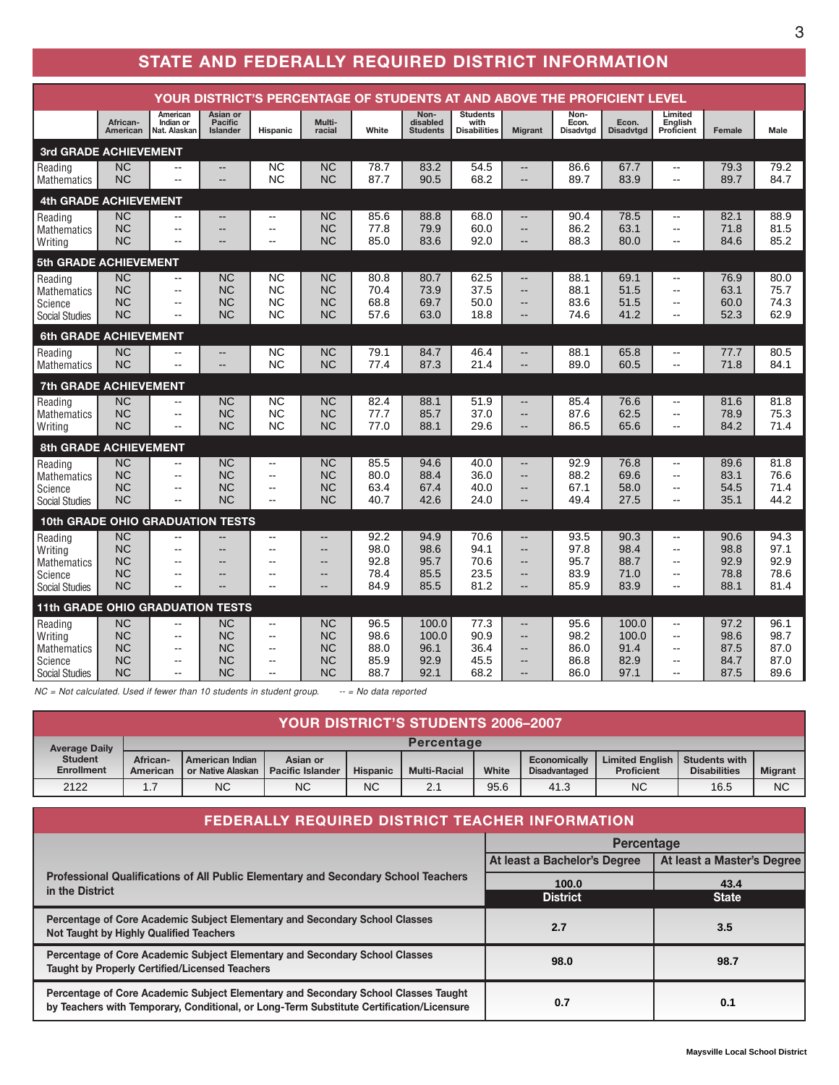## **STATE AND FEDERALLY REQUIRED DISTRICT INFORMATION**

| YOUR DISTRICT'S PERCENTAGE OF STUDENTS AT AND ABOVE THE PROFICIENT LEVEL     |                                                               |                                             |                                                        |                                                                    |                                                                                                              |                                      |                                        |                                                |                                                                                                                            |                                      |                                        |                                                                                                                        |                                      |                                      |
|------------------------------------------------------------------------------|---------------------------------------------------------------|---------------------------------------------|--------------------------------------------------------|--------------------------------------------------------------------|--------------------------------------------------------------------------------------------------------------|--------------------------------------|----------------------------------------|------------------------------------------------|----------------------------------------------------------------------------------------------------------------------------|--------------------------------------|----------------------------------------|------------------------------------------------------------------------------------------------------------------------|--------------------------------------|--------------------------------------|
|                                                                              | African-<br>American                                          | American<br>Indian or<br>Nat. Alaskan       | Asian or<br><b>Pacific</b><br>Islander                 | <b>Hispanic</b>                                                    | Multi-<br>racial                                                                                             | White                                | Non-<br>disabled<br><b>Students</b>    | <b>Students</b><br>with<br><b>Disabilities</b> | <b>Migrant</b>                                                                                                             | Non-<br>Econ.<br><b>Disadvtgd</b>    | Econ.<br><b>Disadvtgd</b>              | Limited<br>English<br>Proficient                                                                                       | Female                               | Male                                 |
| 3rd GRADE ACHIEVEMENT                                                        |                                                               |                                             |                                                        |                                                                    |                                                                                                              |                                      |                                        |                                                |                                                                                                                            |                                      |                                        |                                                                                                                        |                                      |                                      |
| Reading<br><b>Mathematics</b>                                                | <b>NC</b><br><b>NC</b>                                        | --<br>$-$                                   | $\qquad \qquad -$<br>$-$                               | <b>NC</b><br><b>NC</b>                                             | <b>NC</b><br><b>NC</b>                                                                                       | 78.7<br>87.7                         | 83.2<br>90.5                           | 54.5<br>68.2                                   | $\qquad \qquad -$<br>$\overline{\phantom{a}}$                                                                              | 86.6<br>89.7                         | 67.7<br>83.9                           | $\overline{\phantom{a}}$<br>$\overline{\phantom{a}}$                                                                   | 79.3<br>89.7                         | 79.2<br>84.7                         |
| <b>4th GRADE ACHIEVEMENT</b>                                                 |                                                               |                                             |                                                        |                                                                    |                                                                                                              |                                      |                                        |                                                |                                                                                                                            |                                      |                                        |                                                                                                                        |                                      |                                      |
| Reading<br><b>Mathematics</b><br>Writing                                     | <b>NC</b><br><b>NC</b><br><b>NC</b>                           | --<br>$-$<br>$-$                            | $- -$<br>--<br>--                                      | $-$<br>$\overline{a}$<br>$\overline{a}$                            | <b>NC</b><br><b>NC</b><br><b>NC</b>                                                                          | 85.6<br>77.8<br>85.0                 | 88.8<br>79.9<br>83.6                   | 68.0<br>60.0<br>92.0                           | --<br>$\overline{\phantom{a}}$<br>$\overline{a}$                                                                           | 90.4<br>86.2<br>88.3                 | 78.5<br>63.1<br>80.0                   | $\overline{\phantom{a}}$<br>$-$<br>$\overline{\phantom{a}}$                                                            | 82.1<br>71.8<br>84.6                 | 88.9<br>81.5<br>85.2                 |
| 5th GRADE ACHIEVEMENT                                                        |                                                               |                                             |                                                        |                                                                    |                                                                                                              |                                      |                                        |                                                |                                                                                                                            |                                      |                                        |                                                                                                                        |                                      |                                      |
| Reading<br><b>Mathematics</b><br>Science<br><b>Social Studies</b>            | <b>NC</b><br><b>NC</b><br><b>NC</b><br><b>NC</b>              | ۰.<br>--<br>--<br>$\sim$                    | <b>NC</b><br><b>NC</b><br><b>NC</b><br><b>NC</b>       | <b>NC</b><br><b>NC</b><br><b>NC</b><br><b>NC</b>                   | <b>NC</b><br><b>NC</b><br><b>NC</b><br><b>NC</b>                                                             | 80.8<br>70.4<br>68.8<br>57.6         | 80.7<br>73.9<br>69.7<br>63.0           | 62.5<br>37.5<br>50.0<br>18.8                   | $\qquad \qquad -$<br>$\overline{\phantom{a}}$<br>$\overline{a}$<br>$\qquad \qquad -$                                       | 88.1<br>88.1<br>83.6<br>74.6         | 69.1<br>51.5<br>51.5<br>41.2           | $\overline{\phantom{a}}$<br>$\overline{\phantom{a}}$<br>$\overline{\phantom{a}}$<br>$\sim$                             | 76.9<br>63.1<br>60.0<br>52.3         | 80.0<br>75.7<br>74.3<br>62.9         |
| 6th GRADE ACHIEVEMENT                                                        |                                                               |                                             |                                                        |                                                                    |                                                                                                              |                                      |                                        |                                                |                                                                                                                            |                                      |                                        |                                                                                                                        |                                      |                                      |
| Reading<br><b>Mathematics</b>                                                | <b>NC</b><br><b>NC</b>                                        | --<br>÷.                                    | --                                                     | NC<br><b>NC</b>                                                    | <b>NC</b><br><b>NC</b>                                                                                       | 79.1<br>77.4                         | 84.7<br>87.3                           | 46.4<br>21.4                                   | $\overline{a}$<br>$\overline{a}$                                                                                           | 88.1<br>89.0                         | 65.8<br>60.5                           | $\overline{\phantom{a}}$<br>$\overline{a}$                                                                             | 77.7<br>71.8                         | 80.5<br>84.1                         |
| <b>7th GRADE ACHIEVEMENT</b>                                                 |                                                               |                                             |                                                        |                                                                    |                                                                                                              |                                      |                                        |                                                |                                                                                                                            |                                      |                                        |                                                                                                                        |                                      |                                      |
| Reading<br><b>Mathematics</b><br>Writina                                     | <b>NC</b><br><b>NC</b><br><b>NC</b>                           | $-$<br>--<br>$-$                            | <b>NC</b><br><b>NC</b><br><b>NC</b>                    | NC<br><b>NC</b><br><b>NC</b>                                       | <b>NC</b><br><b>NC</b><br><b>NC</b>                                                                          | 82.4<br>77.7<br>77.0                 | 88.1<br>85.7<br>88.1                   | 51.9<br>37.0<br>29.6                           | $\overline{a}$<br>$\qquad \qquad -$<br>$\qquad \qquad -$                                                                   | 85.4<br>87.6<br>86.5                 | 76.6<br>62.5<br>65.6                   | $-$<br>$\overline{\phantom{a}}$<br>$\overline{a}$                                                                      | 81.6<br>78.9<br>84.2                 | 81.8<br>75.3<br>71.4                 |
| <b>8th GRADE ACHIEVEMENT</b>                                                 |                                                               |                                             |                                                        |                                                                    |                                                                                                              |                                      |                                        |                                                |                                                                                                                            |                                      |                                        |                                                                                                                        |                                      |                                      |
| Reading<br><b>Mathematics</b><br>Science<br><b>Social Studies</b>            | <b>NC</b><br><b>NC</b><br><b>NC</b><br><b>NC</b>              | --<br>--<br>$-$<br>$-$                      | <b>NC</b><br><b>NC</b><br><b>NC</b><br><b>NC</b>       | $\overline{\phantom{a}}$<br>$-$<br>$\overline{a}$<br>$-$           | <b>NC</b><br><b>NC</b><br><b>NC</b><br><b>NC</b>                                                             | 85.5<br>80.0<br>63.4<br>40.7         | 94.6<br>88.4<br>67.4<br>42.6           | 40.0<br>36.0<br>40.0<br>24.0                   | $\overline{a}$<br>$\overline{\phantom{a}}$<br>$\overline{\phantom{a}}$<br>$-$                                              | 92.9<br>88.2<br>67.1<br>49.4         | 76.8<br>69.6<br>58.0<br>27.5           | $\overline{\phantom{a}}$<br>$\overline{\phantom{a}}$<br>$-$<br>$\overline{a}$                                          | 89.6<br>83.1<br>54.5<br>35.1         | 81.8<br>76.6<br>71.4<br>44.2         |
| <b>10th GRADE OHIO GRADUATION TESTS</b>                                      |                                                               |                                             |                                                        |                                                                    |                                                                                                              |                                      |                                        |                                                |                                                                                                                            |                                      |                                        |                                                                                                                        |                                      |                                      |
| Reading<br>Writing<br><b>Mathematics</b><br>Science<br><b>Social Studies</b> | <b>NC</b><br><b>NC</b><br><b>NC</b><br><b>NC</b><br><b>NC</b> | --<br>$-$<br>$\overline{\phantom{a}}$<br>-- | --<br>$\qquad \qquad -$                                | $-$<br>$\overline{\phantom{a}}$<br>$\overline{a}$<br>$-$<br>$\sim$ | $\overline{\phantom{a}}$<br>$\overline{\phantom{a}}$<br>$\overline{\phantom{a}}$<br>$\overline{\phantom{a}}$ | 92.2<br>98.0<br>92.8<br>78.4<br>84.9 | 94.9<br>98.6<br>95.7<br>85.5<br>85.5   | 70.6<br>94.1<br>70.6<br>23.5<br>81.2           | $\qquad \qquad -$<br>$\overline{\phantom{a}}$<br>$\overline{\phantom{a}}$<br>$\overline{\phantom{a}}$<br>$\qquad \qquad -$ | 93.5<br>97.8<br>95.7<br>83.9<br>85.9 | 90.3<br>98.4<br>88.7<br>71.0<br>83.9   | $\overline{\phantom{a}}$<br>$\overline{\phantom{a}}$<br>$\overline{\phantom{a}}$<br>$\overline{\phantom{a}}$<br>$\sim$ | 90.6<br>98.8<br>92.9<br>78.8<br>88.1 | 94.3<br>97.1<br>92.9<br>78.6<br>81.4 |
| 11th GRADE OHIO GRADUATION TESTS                                             |                                                               |                                             |                                                        |                                                                    |                                                                                                              |                                      |                                        |                                                |                                                                                                                            |                                      |                                        |                                                                                                                        |                                      |                                      |
| Reading<br>Writing<br><b>Mathematics</b><br>Science<br>Social Studies        | <b>NC</b><br><b>NC</b><br><b>NC</b><br><b>NC</b><br><b>NC</b> | --<br>$\sim$<br>$\sim$<br>--<br>--          | <b>NC</b><br><b>NC</b><br><b>NC</b><br>ΝC<br><b>NC</b> | $\overline{a}$<br>$-$<br>$-$<br>$\overline{\phantom{a}}$<br>--     | <b>NC</b><br><b>NC</b><br><b>NC</b><br><b>NC</b><br><b>NC</b>                                                | 96.5<br>98.6<br>88.0<br>85.9<br>88.7 | 100.0<br>100.0<br>96.1<br>92.9<br>92.1 | 77.3<br>90.9<br>36.4<br>45.5<br>68.2           | $-$<br>$\qquad \qquad -$<br>$\qquad \qquad -$<br>--                                                                        | 95.6<br>98.2<br>86.0<br>86.8<br>86.0 | 100.0<br>100.0<br>91.4<br>82.9<br>97.1 | $\overline{\phantom{a}}$<br>$\overline{a}$<br>$\overline{a}$<br>$\overline{\phantom{a}}$<br>--                         | 97.2<br>98.6<br>87.5<br>84.7<br>87.5 | 96.1<br>98.7<br>87.0<br>87.0<br>89.6 |

*NC = Not calculated. Used if fewer than 10 students in student group. -- = No data reported*

| <b>YOUR DISTRICT'S STUDENTS 2006-2007</b> |                      |                                             |                                     |                 |                     |       |                                      |                                             |                                             |                |
|-------------------------------------------|----------------------|---------------------------------------------|-------------------------------------|-----------------|---------------------|-------|--------------------------------------|---------------------------------------------|---------------------------------------------|----------------|
| <b>Average Daily</b>                      | Percentage           |                                             |                                     |                 |                     |       |                                      |                                             |                                             |                |
| <b>Student</b><br><b>Enrollment</b>       | African-<br>American | <b>American Indian</b><br>or Native Alaskan | Asian or<br><b>Pacific Islander</b> | <b>Hispanic</b> | <b>Multi-Racial</b> | White | Economically<br><b>Disadvantaged</b> | <b>Limited English</b><br><b>Proficient</b> | <b>Students with</b><br><b>Disabilities</b> | <b>Migrant</b> |
| 2122                                      | 1.7                  | <b>NC</b>                                   | NC                                  | <b>NC</b>       | 2.7                 | 95.6  | 41.3                                 | <b>NC</b>                                   | 16.5                                        | <b>NC</b>      |

| <b>FEDERALLY REQUIRED DISTRICT TEACHER INFORMATION</b>                                                                                                                         |                              |                            |  |  |  |  |  |  |
|--------------------------------------------------------------------------------------------------------------------------------------------------------------------------------|------------------------------|----------------------------|--|--|--|--|--|--|
|                                                                                                                                                                                | <b>Percentage</b>            |                            |  |  |  |  |  |  |
|                                                                                                                                                                                | At least a Bachelor's Degree | At least a Master's Degree |  |  |  |  |  |  |
| Professional Qualifications of All Public Elementary and Secondary School Teachers<br>in the District                                                                          | 100.0<br><b>District</b>     | 43.4<br><b>State</b>       |  |  |  |  |  |  |
| Percentage of Core Academic Subject Elementary and Secondary School Classes<br><b>Not Taught by Highly Qualified Teachers</b>                                                  | 2.7                          | 3.5                        |  |  |  |  |  |  |
| Percentage of Core Academic Subject Elementary and Secondary School Classes<br><b>Taught by Properly Certified/Licensed Teachers</b>                                           | 98.0                         | 98.7                       |  |  |  |  |  |  |
| Percentage of Core Academic Subject Elementary and Secondary School Classes Taught<br>by Teachers with Temporary, Conditional, or Long-Term Substitute Certification/Licensure | 0.7                          | 0.1                        |  |  |  |  |  |  |